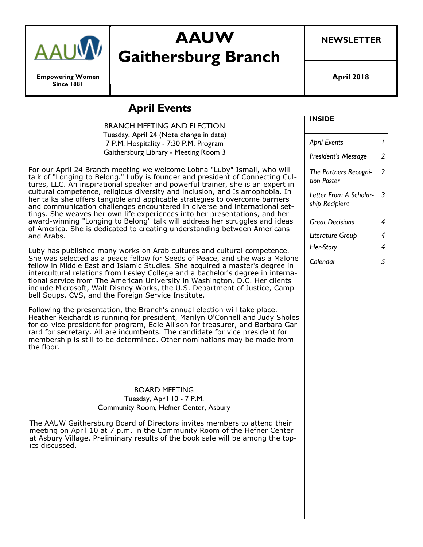

**Empowering Women Since 1881**

# **AAUW Gaithersburg Branch**

**NEWSLETTER**

**April 2018**

## **April Events**

BRANCH MEETING AND ELECTION Tuesday, April 24 (Note change in date) 7 P.M. Hospitality - 7:30 P.M. Program Gaithersburg Library - Meeting Room 3

For our April 24 Branch meeting we welcome Lobna "Luby" Ismail, who will talk of "Longing to Belong." Luby is founder and president of Connecting Cultures, LLC. An inspirational speaker and powerful trainer, she is an expert in cultural competence, religious diversity and inclusion, and Islamophobia. In her talks she offers tangible and applicable strategies to overcome barriers and communication challenges encountered in diverse and international settings. She weaves her own life experiences into her presentations, and her award-winning "Longing to Belong" talk will address her struggles and ideas of America. She is dedicated to creating understanding between Americans and Arabs.

Luby has published many works on Arab cultures and cultural competence. She was selected as a peace fellow for Seeds of Peace, and she was a Malone fellow in Middle East and Islamic Studies. She acquired a master's degree in intercultural relations from Lesley College and a bachelor's degree in international service from The American University in Washington, D.C. Her clients include Microsoft, Walt Disney Works, the U.S. Department of Justice, Campbell Soups, CVS, and the Foreign Service Institute.

Following the presentation, the Branch's annual election will take place. Heather Reichardt is running for president, Marilyn O'Connell and Judy Sholes for co-vice president for program, Edie Allison for treasurer, and Barbara Garrard for secretary. All are incumbents. The candidate for vice president for membership is still to be determined. Other nominations may be made from the floor.

#### BOARD MEETING Tuesday, April 10 - 7 P.M. Community Room, Hefner Center, Asbury

The AAUW Gaithersburg Board of Directors invites members to attend their meeting on April 10 at  $\overline{7}$  p.m. in the Community Room of the Hefner Center at Asbury Village. Preliminary results of the book sale will be among the topics discussed.

#### **INSIDE**

*April Events 1 President's Message 2 The Partners Recognition Poster 2 Letter From A Scholar-3 ship Recipient Great Decisions 4 Literature Group 4 Her-Story 4 Calendar 5*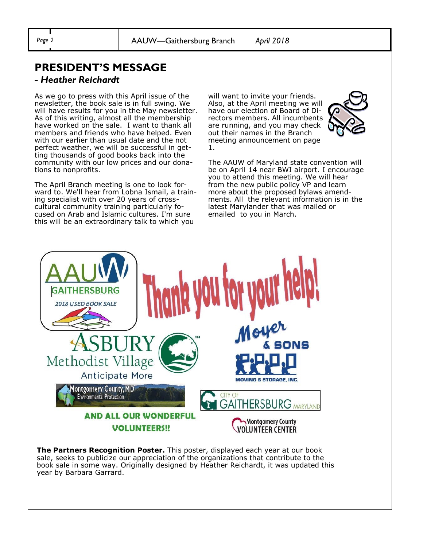## **PRESIDENT'S MESSAGE**

#### *- Heather Reichardt*

As we go to press with this April issue of the newsletter, the book sale is in full swing. We will have results for you in the May newsletter. As of this writing, almost all the membership have worked on the sale. I want to thank all members and friends who have helped. Even with our earlier than usual date and the not perfect weather, we will be successful in getting thousands of good books back into the community with our low prices and our donations to nonprofits.

The April Branch meeting is one to look forward to. We'll hear from Lobna Ismail, a training specialist with over 20 years of crosscultural community training particularly focused on Arab and Islamic cultures. I'm sure this will be an extraordinary talk to which you

will want to invite your friends. Also, at the April meeting we will have our election of Board of Directors members. All incumbents are running, and you may check out their names in the Branch meeting announcement on page 1.



The AAUW of Maryland state convention will be on April 14 near BWI airport. I encourage you to attend this meeting. We will hear from the new public policy VP and learn more about the proposed bylaws amendments. All the relevant information is in the latest Marylander that was mailed or emailed to you in March.



**The Partners Recognition Poster.** This poster, displayed each year at our book sale, seeks to publicize our appreciation of the organizations that contribute to the book sale in some way. Originally designed by Heather Reichardt, it was updated this year by Barbara Garrard.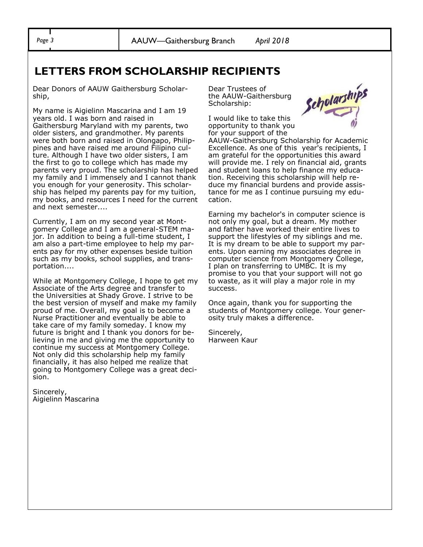## **LETTERS FROM SCHOLARSHIP RECIPIENTS**

Dear Donors of AAUW Gaithersburg Scholarship,

My name is Aigielinn Mascarina and I am 19 years old. I was born and raised in Gaithersburg Maryland with my parents, two older sisters, and grandmother. My parents were both born and raised in Olongapo, Philippines and have raised me around Filipino culture. Although I have two older sisters, I am the first to go to college which has made my parents very proud. The scholarship has helped my family and I immensely and I cannot thank you enough for your generosity. This scholarship has helped my parents pay for my tuition, my books, and resources I need for the current and next semester....

Currently, I am on my second year at Montgomery College and I am a general-STEM major. In addition to being a full-time student, I am also a part-time employee to help my parents pay for my other expenses beside tuition such as my books, school supplies, and transportation....

While at Montgomery College, I hope to get my Associate of the Arts degree and transfer to the Universities at Shady Grove. I strive to be the best version of myself and make my family proud of me. Overall, my goal is to become a Nurse Practitioner and eventually be able to take care of my family someday. I know my future is bright and I thank you donors for believing in me and giving me the opportunity to continue my success at Montgomery College. Not only did this scholarship help my family financially, it has also helped me realize that going to Montgomery College was a great decision.

Sincerely, Aigielinn Mascarina Dear Trustees of the AAUW-Gaithersburg Scholarship:

I would like to take this opportunity to thank you for your support of the



AAUW-Gaithersburg Scholarship for Academic Excellence. As one of this year's recipients, I am grateful for the opportunities this award will provide me. I rely on financial aid, grants and student loans to help finance my education. Receiving this scholarship will help reduce my financial burdens and provide assistance for me as I continue pursuing my education.

Earning my bachelor's in computer science is not only my goal, but a dream. My mother and father have worked their entire lives to support the lifestyles of my siblings and me. It is my dream to be able to support my parents. Upon earning my associates degree in computer science from Montgomery College, I plan on transferring to UMBC. It is my promise to you that your support will not go to waste, as it will play a major role in my success.

Once again, thank you for supporting the students of Montgomery college. Your generosity truly makes a difference.

Sincerely, Harween Kaur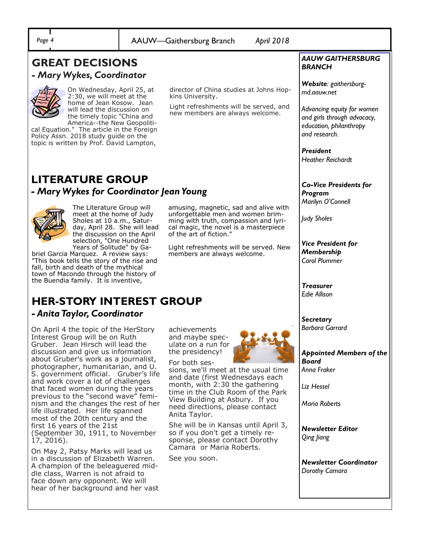#### *Page 4* AAUW—Gaithersburg Branch *April 2018* **LITERATURE GROUP** *- Mary Wykes for Coordinator Jean Young*  The Literature Group will meet at the home of Judy Sholes at 10 a.m., Saturday, April 28. She will lead the discussion on the April selection, "One Hundred Years of Solitude" by Gabriel Garcia Marquez. A review says: "This book tells the story of the rise and fall, birth and death of the mythical town of Macondo through the history of the Buendia family. It is inventive, amusing, magnetic, sad and alive with unforgettable men and women brimming with truth, compassion and lyrical magic, the novel is a masterpiece of the art of fiction." Light refreshments will be served. New members are always welcome. **GREAT DECISIONS**  *- Mary Wykes, Coordinator*  On Wednesday, April 25, at 2:30, we will meet at the home of Jean Kosow. Jean will lead the discussion on the timely topic "China and America--the New Geopolitical Equation." The article in the Foreign Policy Assn. 2018 study guide on the topic is written by Prof. David Lampton, director of China studies at Johns Hopkins University. Light refreshments will be served, and new members are always welcome. **HER-STORY INTEREST GROUP**  *- Anita Taylor, Coordinator*  On April 4 the topic of the HerStory Interest Group will be on Ruth Gruber. Jean Hirsch will lead the discussion and give us information about Gruber's work as a journalist, photographer, humanitarian, and U. S. government official. Gruber's life and work cover a lot of challenges that faced women during the years previous to the "second wave" feminism and the changes the rest of her life illustrated. Her life spanned most of the 20th century and the first 16 years of the 21st (September 30, 1911, to November 17, 2016). On May 2, Patsy Marks will lead us in a discussion of Elizabeth Warren. A champion of the beleaguered middle class, Warren is not afraid to face down any opponent. We will achievements and maybe speculate on a run for the presidency! For both sessions, we'll meet at the usual time and date (first Wednesdays each month, with 2:30 the gathering time in the Club Room of the Park View Building at Asbury. If you need directions, please contact Anita Taylor. She will be in Kansas until April 3, so if you don't get a timely response, please contact Dorothy Camara or Maria Roberts. See you soon. *AAUW GAITHERSBURG BRANCH Website: gaithersburgmd.aauw.net Advancing equity for women and girls through advocacy, education, philanthropy and research. President Heather Reichardt Co-Vice Presidents for Program Marilyn O'Connell Judy Sholes Vice President for Membership Carol Plummer Treasurer Edie Allison Secretary Barbara Garrard Appointed Members of the Board Anna Fraker Liz Hessel Maria Roberts Newsletter Editor Qing Jiang Newsletter Coordinator Dorothy Camara*

hear of her background and her vast